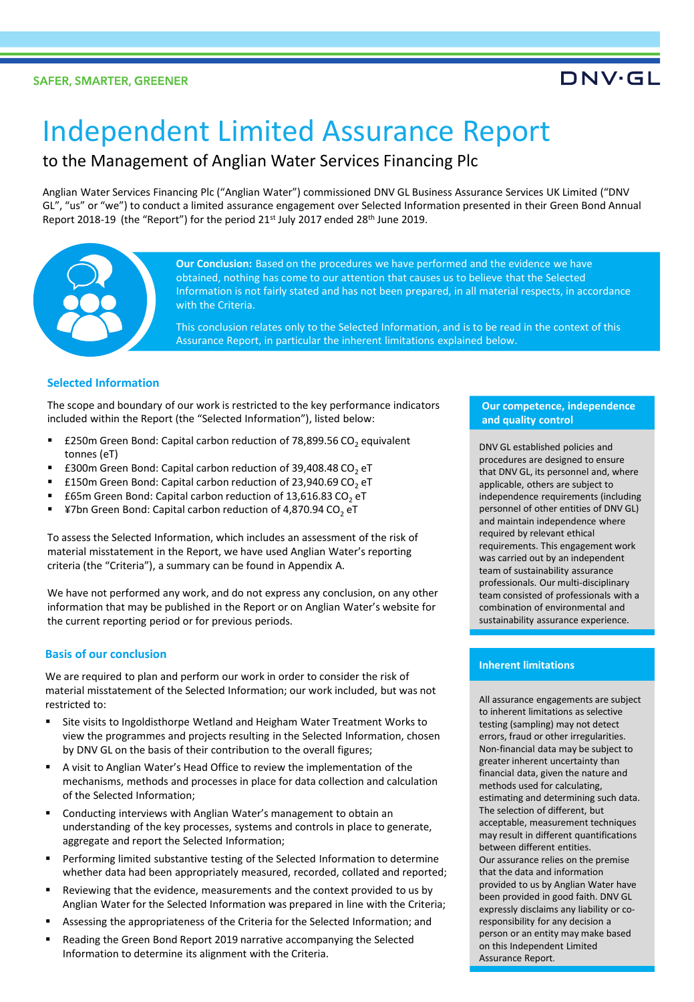## **DNV·GL**

# Independent Limited Assurance Report

### to the Management of Anglian Water Services Financing Plc

Anglian Water Services Financing Plc ("Anglian Water") commissioned DNV GL Business Assurance Services UK Limited ("DNV GL", "us" or "we") to conduct a limited assurance engagement over Selected Information presented in their Green Bond Annual Report 2018-19 (the "Report") for the period 21st July 2017 ended 28th June 2019.



**Our Conclusion:** Based on the procedures we have performed and the evidence we have obtained, nothing has come to our attention that causes us to believe that the Selected Information is not fairly stated and has not been prepared, in all material respects, in accordance with the Criteria.

This conclusion relates only to the Selected Information, and is to be read in the context of this Assurance Report, in particular the inherent limitations explained below.

#### **Selected Information**

The scope and boundary of our work is restricted to the key performance indicators included within the Report (the "Selected Information"), listed below:

- £250m Green Bond: Capital carbon reduction of 78,899.56 CO<sub>2</sub> equivalent tonnes (eT)
- £300m Green Bond: Capital carbon reduction of 39,408.48 CO<sub>2</sub> eT
- £150m Green Bond: Capital carbon reduction of 23,940.69 CO<sub>2</sub> eT
- £65m Green Bond: Capital carbon reduction of 13,616.83 CO<sub>2</sub> eT
- ¥7bn Green Bond: Capital carbon reduction of 4,870.94 CO<sub>2</sub> eT

To assess the Selected Information, which includes an assessment of the risk of material misstatement in the Report, we have used Anglian Water's reporting criteria (the "Criteria"), a summary can be found in Appendix A.

We have not performed any work, and do not express any conclusion, on any other information that may be published in the Report or on Anglian Water's website for the current reporting period or for previous periods.

#### **Basis of our conclusion**

We are required to plan and perform our work in order to consider the risk of material misstatement of the Selected Information; our work included, but was not restricted to:

- Site visits to Ingoldisthorpe Wetland and Heigham Water Treatment Works to view the programmes and projects resulting in the Selected Information, chosen by DNV GL on the basis of their contribution to the overall figures;
- A visit to Anglian Water's Head Office to review the implementation of the mechanisms, methods and processes in place for data collection and calculation of the Selected Information;
- Conducting interviews with Anglian Water's management to obtain an understanding of the key processes, systems and controls in place to generate, aggregate and report the Selected Information;
- Performing limited substantive testing of the Selected Information to determine whether data had been appropriately measured, recorded, collated and reported;
- Reviewing that the evidence, measurements and the context provided to us by Anglian Water for the Selected Information was prepared in line with the Criteria;
- Assessing the appropriateness of the Criteria for the Selected Information; and
- Reading the Green Bond Report 2019 narrative accompanying the Selected Information to determine its alignment with the Criteria.

#### **Our competence, independence and quality control**

DNV GL established policies and procedures are designed to ensure that DNV GL, its personnel and, where applicable, others are subject to independence requirements (including personnel of other entities of DNV GL) and maintain independence where required by relevant ethical requirements. This engagement work was carried out by an independent team of sustainability assurance professionals. Our multi-disciplinary team consisted of professionals with a combination of environmental and sustainability assurance experience.

#### **Inherent limitations**

All assurance engagements are subject to inherent limitations as selective testing (sampling) may not detect errors, fraud or other irregularities. Non-financial data may be subject to greater inherent uncertainty than financial data, given the nature and methods used for calculating, estimating and determining such data. The selection of different, but acceptable, measurement techniques may result in different quantifications between different entities. Our assurance relies on the premise that the data and information provided to us by Anglian Water have been provided in good faith. DNV GL expressly disclaims any liability or coresponsibility for any decision a person or an entity may make based on this Independent Limited Assurance Report.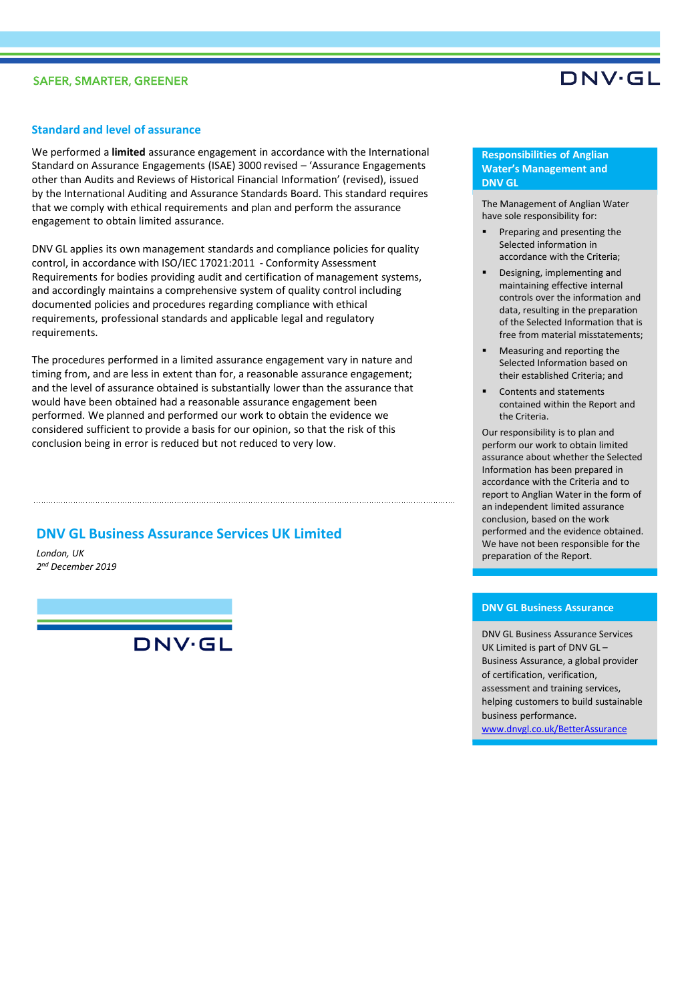#### **SAFER, SMARTER, GREENER**

## DNV·GL

#### **Standard and level of assurance**

We performed a **limited** assurance engagement in accordance with the International Standard on Assurance Engagements (ISAE) 3000 revised – 'Assurance Engagements other than Audits and Reviews of Historical Financial Information' (revised), issued by the International Auditing and Assurance Standards Board. This standard requires that we comply with ethical requirements and plan and perform the assurance engagement to obtain limited assurance.

DNV GL applies its own management standards and compliance policies for quality control, in accordance with ISO/IEC 17021:2011 - Conformity Assessment Requirements for bodies providing audit and certification of management systems, and accordingly maintains a comprehensive system of quality control including documented policies and procedures regarding compliance with ethical requirements, professional standards and applicable legal and regulatory requirements.

The procedures performed in a limited assurance engagement vary in nature and timing from, and are less in extent than for, a reasonable assurance engagement; and the level of assurance obtained is substantially lower than the assurance that would have been obtained had a reasonable assurance engagement been performed. We planned and performed our work to obtain the evidence we considered sufficient to provide a basis for our opinion, so that the risk of this conclusion being in error is reduced but not reduced to very low.

#### **DNV GL Business Assurance Services UK Limited**

*London, UK 2 nd December 2019*

DNV·GL

#### **Responsibilities of Anglian Water's Management and DNV GL**

The Management of Anglian Water have sole responsibility for:

- Preparing and presenting the Selected information in accordance with the Criteria;
- Designing, implementing and maintaining effective internal controls over the information and data, resulting in the preparation of the Selected Information that is free from material misstatements;
- Measuring and reporting the Selected Information based on their established Criteria; and
- Contents and statements contained within the Report and the Criteria.

Our responsibility is to plan and perform our work to obtain limited assurance about whether the Selected Information has been prepared in accordance with the Criteria and to report to Anglian Water in the form of an independent limited assurance conclusion, based on the work performed and the evidence obtained. We have not been responsible for the preparation of the Report.

#### **DNV GL Business Assurance**

DNV GL Business Assurance Services UK Limited is part of DNV GL – Business Assurance, a global provider of certification, verification, assessment and training services, helping customers to build sustainable business performance. [www.dnvgl.co.uk/BetterAssurance](http://www.dnvgl.co.uk/BetterAssurance)